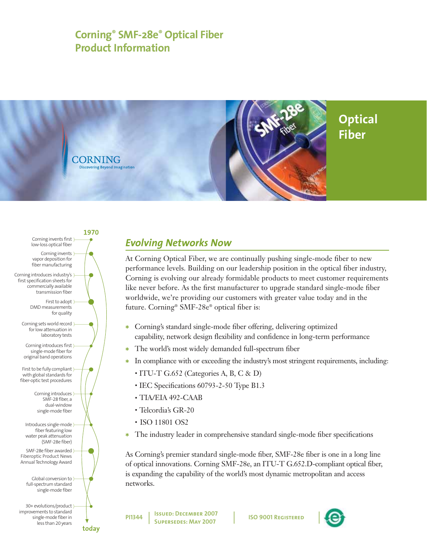# **Corning® SMF-28e® Optical Fiber Product Information**



1970 Corning invents first low-loss optical fiber Corning invents ) vapor deposition for fiber manufacturing Corning introduces industry's } first specification sheets for commercially available transmission fiber First to adopt ) DMD measurements for quality Corning sets world record } for low attenuation in laboratory tests Corning introduces first) single-mode fiber for original band operations First to be fully compliant) with global standards for fiber-optic test procedures Corning introduces) SMF-28 fiber, a dual-window single-mode fiber Introduces single-mode) fiber featuring low water peak attenuation (SMF-28e fiber) SMF-28e fiber awarded Fiberoptic Product News Annual Technology Award Global conversion to ) full-spectrum standard single-mode fiber 30+ evolutions/product improvements to standard single-mode fiber in less than 20 years today

# *Evolving Networks Now*

At Corning Optical Fiber, we are continually pushing single-mode fiber to new performance levels. Building on our leadership position in the optical fiber industry, Corning is evolving our already formidable products to meet customer requirements like never before. As the first manufacturer to upgrade standard single-mode fiber worldwide, we're providing our customers with greater value today and in the future. Corning® SMF-28e® optical fiber is:

- \* Corning's standard single-mode fiber offering, delivering optimized capability, network design flexibility and confidence in long-term performance
- \* The world's most widely demanded full-spectrum fiber
- \* In compliance with or exceeding the industry's most stringent requirements, including:
	- ITU-T G.652 (Categories A, B, C & D)
	- IEC Specifications 60793-2-50 Type B1.3
	- TIA/EIA 492-CAAB
	- Telcordia's GR-20
	- ISO 11801 OS2
- \* The industry leader in comprehensive standard single-mode fiber specifications

As Corning's premier standard single-mode fiber, SMF-28e fiber is one in a long line of optical innovations. Corning SMF-28e, an ITU-T G.652.D-compliant optical fiber, is expanding the capability of the world's most dynamic metropolitan and access networks.

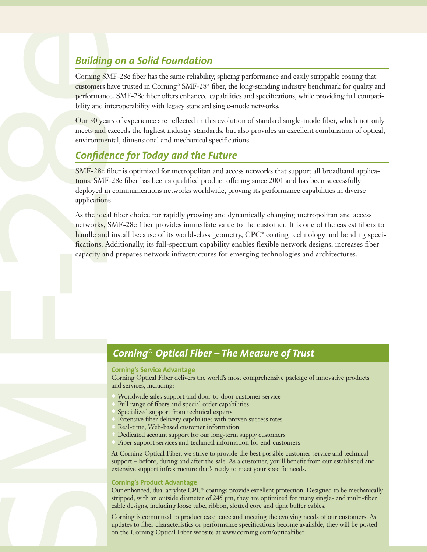Corning SMF-28e fiber has the same reliability, splicing performance and easily strippable coating that customers have trusted in Corning® SMF-28® fiber, the long-standing industry benchmark for quality and performance. SMF-28e fiber offers enhanced capabilities and specifications, while providing full compatibility and interoperability with legacy standard single-mode networks.

Our 30 years of experience are reflected in this evolution of standard single-mode fiber, which not only meets and exceeds the highest industry standards, but also provides an excellent combination of optical, environmental, dimensional and mechanical specifications.

## *Confidence for Today and the Future*

SMF-28e fiber is optimized for metropolitan and access networks that support all broadband applications. SMF-28e fiber has been a qualified product offering since 2001 and has been successfully deployed in communications networks worldwide, proving its performance capabilities in diverse applications.

**Building on a Solid Foundation**<br>Coming SMF-28e iiker has the same reliability castomers have rensed in Coming SMF-28F (performance SMF-28F the offers endured by the performance state redefect in the building of material o As the ideal fiber choice for rapidly growing and dynamically changing metropolitan and access networks, SMF-28e fiber provides immediate value to the customer. It is one of the easiest fibers to handle and install because of its world-class geometry, CPC<sup>®</sup> coating technology and bending specifications. Additionally, its full-spectrum capability enables flexible network designs, increases fiber capacity and prepares network infrastructures for emerging technologies and architectures.

### *Corning*® *Optical Fiber – The Measure of Trust*

#### **Corning's Service Advantage**

Corning Optical Fiber delivers the world's most comprehensive package of innovative products and services, including:

- Worldwide sales support and door-to-door customer service
- Full range of fibers and special order capabilities
- Specialized support from technical experts
- Extensive fiber delivery capabilities with proven success rates<br>Real-time, Web-based customer information
- $*$  Real-time, Web-based customer information  $*$  Dedicated account support for our long-term
- $\ast$  Dedicated account support for our long-term supply customers  $\ast$  Fiber support services and technical information for end-custo
- Fiber support services and technical information for end-customers

At Corning Optical Fiber, we strive to provide the best possible customer service and technical support – before, during and after the sale. As a customer, you'll benefit from our established and extensive support infrastructure that's ready to meet your specific needs.

### **Corning's Product Advantage**

Our enhanced, dual acrylate CPC® coatings provide excellent protection. Designed to be mechanically stripped, with an outside diameter of 245 µm, they are optimized for many single- and multi-fiber cable designs, including loose tube, ribbon, slotted core and tight buffer cables.

Corning is committed to product excellence and meeting the evolving needs of our customers. As updates to fiber characteristics or performance specifications become available, they will be posted on the Corning Optical Fiber website at www.corning.com/opticalfiber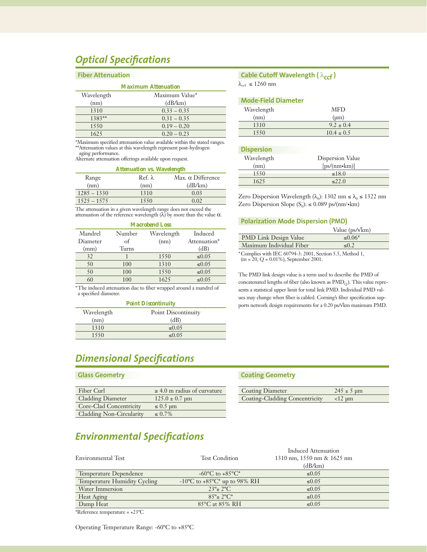## *Optical Specifications*

#### **Fiber Attenuation**

| <b>Maximum Attenuation</b> |                |  |
|----------------------------|----------------|--|
| Wavelength                 | Maximum Value* |  |
| (nm)                       | (dB/km)        |  |
| 1310                       | $0.33 - 0.35$  |  |
| $1383**$                   | $0.31 - 0.35$  |  |
| 1550                       | $0.19 - 0.20$  |  |
| 1625                       | $0.20 - 0.23$  |  |

\*Maximum specified attenuation value available within the stated ranges. \*\*Attenuation values at this wavelength represent post-hydrogen aging performance.

Alternate attenuation offerings available upon request.

#### *Attenuation vs. Wavelength*

| Range         | Ref. $\lambda$ | Max. $\alpha$ Difference |
|---------------|----------------|--------------------------|
| (nm)          | (nm)           | (dB/km)                  |
| $1285 - 1330$ | 1310           | 0.03                     |
| $1525 - 1575$ | 1550           | 0.02                     |
|               |                |                          |

The attenuation in a given wavelength range does not exceed the attenuation of the reference wavelength  $(\lambda)$  by more than the value  $\alpha$ .

| <b>Macrobend Loss</b> |        |            |              |
|-----------------------|--------|------------|--------------|
| Mandrel               | Number | Wavelength | Induced      |
| Diameter              | of     | (nm)       | Attenuation* |
| (mm)                  | Turns  |            | (dB)         |
| 32                    |        | 1550       | $\leq 0.05$  |
| 50                    | 100    | 1310       | $\leq 0.05$  |
| 50                    | 100    | 1550       | $\leq 0.05$  |
| 60                    | 100    | 1625       | $\leq 0.05$  |
|                       |        |            |              |

\*The induced attenuation due to fiber wrapped around a mandrel of a specified diameter.

| <b>Point Discontinuity</b> |                     |  |
|----------------------------|---------------------|--|
| Wavelength                 | Point Discontinuity |  |
| (nm)                       | (dB)                |  |
| 1310                       | $\leq 0.05$         |  |
| 1550                       | $\leq 0.05$         |  |

## *Dimensional Specifications*

#### **Glass Geometry**

| Fiber Curl               | $\geq 4.0$ m radius of curvature |
|--------------------------|----------------------------------|
| <b>Cladding Diameter</b> | $125.0 \pm 0.7$ um               |
| Core-Clad Concentricity  | $\leq 0.5$ µm                    |
| Cladding Non-Circularity | $\leq 0.7\%$                     |

### **Cable Cutoff Wavelength (** $λ<sub>ccf</sub>$ **)**

 $\lambda_{\rm ccf}\, \leq 1260$ nm

#### **Mode-Field Diameter**

| Wavelength | MFD            |
|------------|----------------|
| (nm)       | $(\mu m)$      |
| 1310       | $9.2 \pm 0.4$  |
| 1550       | $10.4 \pm 0.5$ |
|            |                |

#### **Dispersion**

| Wavelength | Dispersion Value |
|------------|------------------|
| (nm)       | $[ps/(nm*km)]$   |
| 1550       | $\leq$ 18.0      |
| 1625       | 22.0             |

Zero Dispersion Wavelength ( $\lambda_0$ ): 1302 nm  $\leq \lambda_0 \leq 1322$  nm Zero Dispersion Slope  $(S_0): \leq 0.089$  ps/(nm<sup>2</sup>•km)

#### **Polarization Mode Dispersion (PMD)**

|                                                          | Value ( $ps/\sqrt{km}$ ) |
|----------------------------------------------------------|--------------------------|
| <b>PMD Link Design Value</b>                             | $≤ 0.06*$                |
| Maximum Individual Fiber                                 | $\leq 0.2$               |
| *Complies with IEC 60794-3: 2001, Section 5.5, Method 1, |                          |

(m = 20, Q = 0.01%), September 2001.

The PMD link design value is a term used to describe the PMD of concatenated lengths of fiber (also known as  $PMD<sub>O</sub>$ ). This value represents a statistical upper limit for total link PMD. Individual PMD values may change when fiber is cabled. Corning's fiber specification supports network design requirements for a 0.20 ps/√km maximum PMD.

#### **Coating Geometry**

| <b>Coating Diameter</b>        | $245 \pm 5 \text{ µm}$ |
|--------------------------------|------------------------|
| Coating-Cladding Concentricity | $\langle$ -12 $\mu$ m  |

Induced Attenuation

### *Environmental Specifications*

|                              |                                     | muuttu Authianon                 |  |
|------------------------------|-------------------------------------|----------------------------------|--|
| Environmental Test           | <b>Test Condition</b>               | $1310$ nm, $1550$ nm & $1625$ nm |  |
|                              |                                     | (dB/km)                          |  |
| Temperature Dependence       | $-60^{\circ}$ C to $+85^{\circ}$ C* | $\leq 0.05$                      |  |
| Temperature Humidity Cycling | -10°C to +85°C* up to 98% RH        | $\leq 0.05$                      |  |
| Water Immersion              | $23^{\circ}$ ± $2^{\circ}$ C        | $\leq 0.05$                      |  |
| Heat Aging                   | $85^\circ + 2^\circ C^*$            | $\leq 0.05$                      |  |
| Damp Heat                    | 85°C at 85% RH                      | $\leq 0.05$                      |  |
|                              |                                     |                                  |  |

\*Reference temperature = +23ºC

Operating Temperature Range: -60ºC to +85ºC